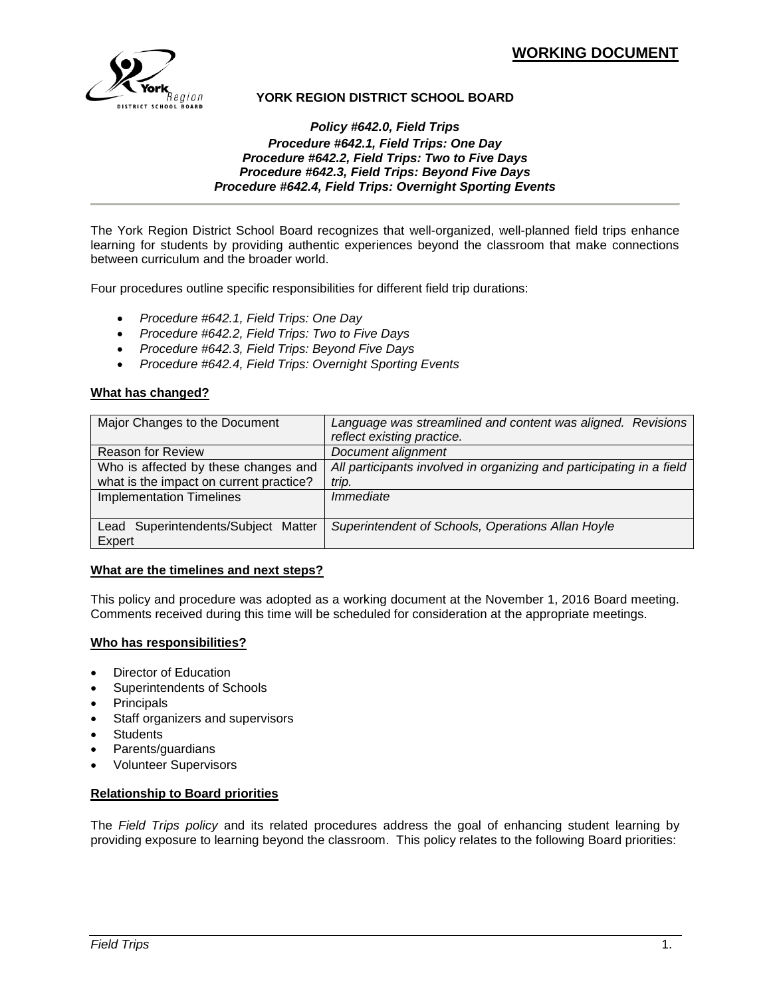

# **YORK REGION DISTRICT SCHOOL BOARD**

## *Policy #642.0, Field Trips Procedure #642.1, Field Trips: One Day Procedure #642.2, Field Trips: Two to Five Days Procedure #642.3, Field Trips: Beyond Five Days Procedure #642.4, Field Trips: Overnight Sporting Events*

The York Region District School Board recognizes that well-organized, well-planned field trips enhance learning for students by providing authentic experiences beyond the classroom that make connections between curriculum and the broader world.

Four procedures outline specific responsibilities for different field trip durations:

- *Procedure #642.1, Field Trips: One Day*
- *Procedure #642.2, Field Trips: Two to Five Days*
- *Procedure #642.3, Field Trips: Beyond Five Days*
- *Procedure #642.4, Field Trips: Overnight Sporting Events*

## **What has changed?**

| Major Changes to the Document           | Language was streamlined and content was aligned. Revisions          |
|-----------------------------------------|----------------------------------------------------------------------|
|                                         | reflect existing practice.                                           |
| <b>Reason for Review</b>                | Document alignment                                                   |
| Who is affected by these changes and    | All participants involved in organizing and participating in a field |
| what is the impact on current practice? | trip.                                                                |
| <b>Implementation Timelines</b>         | Immediate                                                            |
|                                         |                                                                      |
| Lead Superintendents/Subject Matter     | Superintendent of Schools, Operations Allan Hoyle                    |
| Expert                                  |                                                                      |

### **What are the timelines and next steps?**

This policy and procedure was adopted as a working document at the November 1, 2016 Board meeting. Comments received during this time will be scheduled for consideration at the appropriate meetings.

### **Who has responsibilities?**

- Director of Education
- Superintendents of Schools
- Principals
- Staff organizers and supervisors
- **Students**
- Parents/guardians
- Volunteer Supervisors

### **Relationship to Board priorities**

The *Field Trips policy* and its related procedures address the goal of enhancing student learning by providing exposure to learning beyond the classroom. This policy relates to the following Board priorities: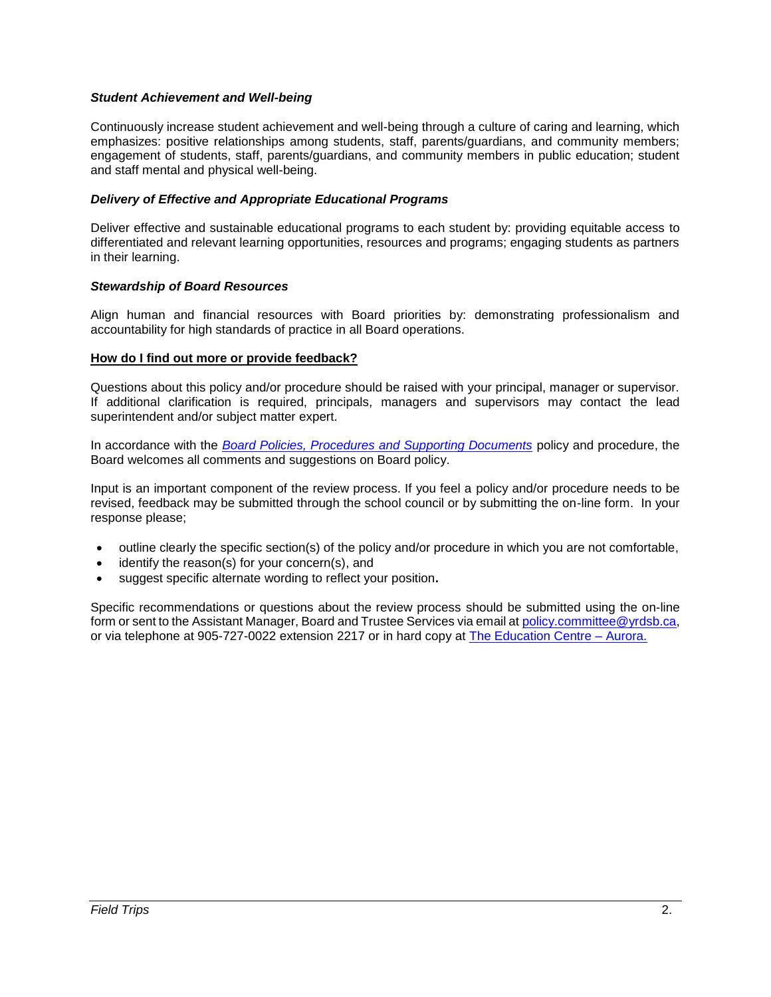# *Student Achievement and Well-being*

Continuously increase student achievement and well-being through a culture of caring and learning, which emphasizes: positive relationships among students, staff, parents/guardians, and community members; engagement of students, staff, parents/guardians, and community members in public education; student and staff mental and physical well-being.

# *Delivery of Effective and Appropriate Educational Programs*

Deliver effective and sustainable educational programs to each student by: providing equitable access to differentiated and relevant learning opportunities, resources and programs; engaging students as partners in their learning.

# *Stewardship of Board Resources*

Align human and financial resources with Board priorities by: demonstrating professionalism and accountability for high standards of practice in all Board operations.

# **How do I find out more or provide feedback?**

Questions about this policy and/or procedure should be raised with your principal, manager or supervisor. If additional clarification is required, principals, managers and supervisors may contact the lead superintendent and/or subject matter expert.

In accordance with the *[Board Policies, Procedures and Supporting Documents](http://www.yrdsb.ca/boarddocs/Documents/PP-boardpoliciesandprocedures-285.pdf)* policy and procedure, the Board welcomes all comments and suggestions on Board policy.

Input is an important component of the review process. If you feel a policy and/or procedure needs to be revised, feedback may be submitted through the school council or by submitting the on-line form. In your response please;

- outline clearly the specific section(s) of the policy and/or procedure in which you are not comfortable,
- identify the reason(s) for your concern(s), and
- suggest specific alternate wording to reflect your position**.**

Specific recommendations or questions about the review process should be submitted using the on-line form or sent to the Assistant Manager, Board and Trustee Services via email at [policy.committee@yrdsb.ca,](mailto:policy.committee@yrdsb.ca) or via telephone at 905-727-0022 extension 2217 or in hard copy at [The Education Centre –](http://www.yrdsb.ca/AboutUs/Departments/Pages/default.aspx) Aurora.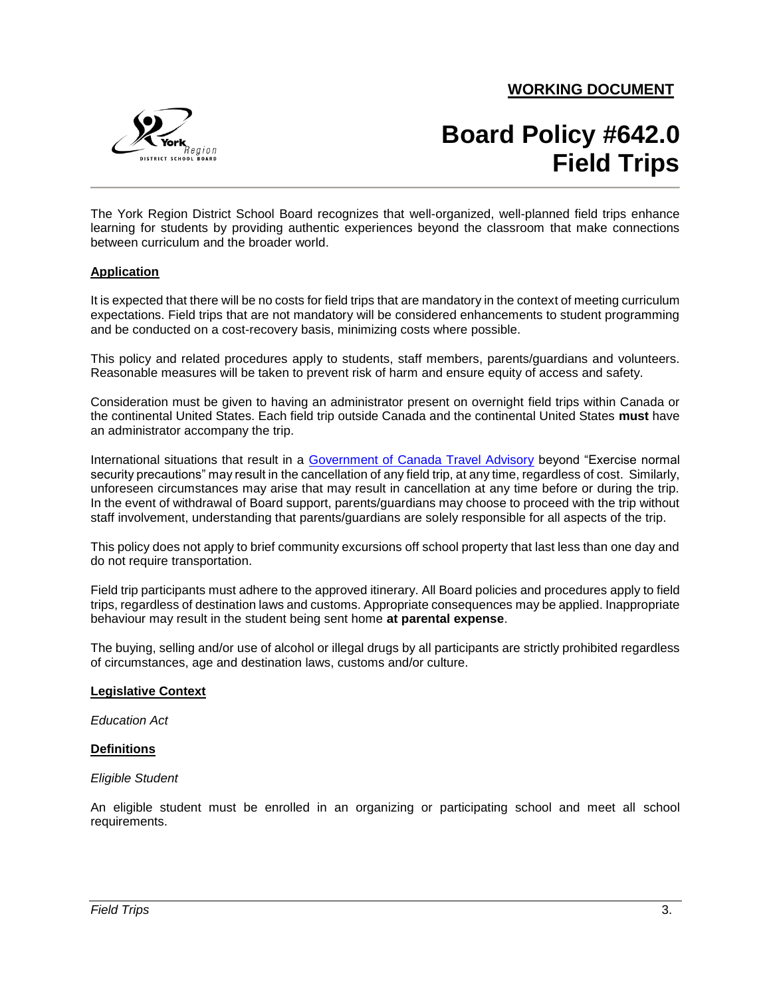**WORKING DOCUMENT**



# **Board Policy #642.0 Field Trips**

The York Region District School Board recognizes that well-organized, well-planned field trips enhance learning for students by providing authentic experiences beyond the classroom that make connections between curriculum and the broader world.

# **Application**

It is expected that there will be no costs for field trips that are mandatory in the context of meeting curriculum expectations. Field trips that are not mandatory will be considered enhancements to student programming and be conducted on a cost-recovery basis, minimizing costs where possible.

This policy and related procedures apply to students, staff members, parents/guardians and volunteers. Reasonable measures will be taken to prevent risk of harm and ensure equity of access and safety.

Consideration must be given to having an administrator present on overnight field trips within Canada or the continental United States. Each field trip outside Canada and the continental United States **must** have an administrator accompany the trip.

International situations that result in a [Government of Canada Travel Advisory](https://travel.gc.ca/travelling/advisories) beyond "Exercise normal security precautions" may result in the cancellation of any field trip, at any time, regardless of cost. Similarly, unforeseen circumstances may arise that may result in cancellation at any time before or during the trip. In the event of withdrawal of Board support, parents/guardians may choose to proceed with the trip without staff involvement, understanding that parents/guardians are solely responsible for all aspects of the trip.

This policy does not apply to brief community excursions off school property that last less than one day and do not require transportation.

Field trip participants must adhere to the approved itinerary. All Board policies and procedures apply to field trips, regardless of destination laws and customs. Appropriate consequences may be applied. Inappropriate behaviour may result in the student being sent home **at parental expense**.

The buying, selling and/or use of alcohol or illegal drugs by all participants are strictly prohibited regardless of circumstances, age and destination laws, customs and/or culture.

# **Legislative Context**

*Education Act*

### **Definitions**

### *Eligible Student*

An eligible student must be enrolled in an organizing or participating school and meet all school requirements.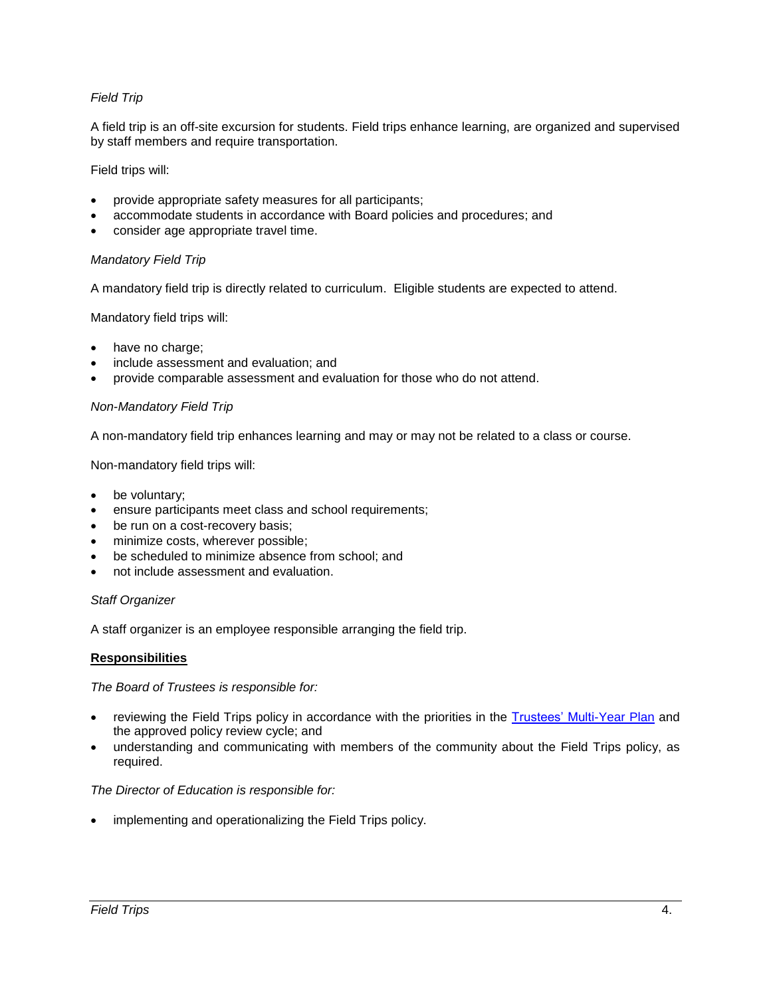# *Field Trip*

A field trip is an off-site excursion for students. Field trips enhance learning, are organized and supervised by staff members and require transportation.

## Field trips will:

- provide appropriate safety measures for all participants;
- accommodate students in accordance with Board policies and procedures; and
- consider age appropriate travel time.

## *Mandatory Field Trip*

A mandatory field trip is directly related to curriculum. Eligible students are expected to attend.

Mandatory field trips will:

- have no charge;
- include assessment and evaluation; and
- provide comparable assessment and evaluation for those who do not attend.

## *Non-Mandatory Field Trip*

A non-mandatory field trip enhances learning and may or may not be related to a class or course.

Non-mandatory field trips will:

- be voluntary;
- ensure participants meet class and school requirements;
- be run on a cost-recovery basis;
- minimize costs, wherever possible;
- be scheduled to minimize absence from school; and
- not include assessment and evaluation.

### *Staff Organizer*

A staff organizer is an employee responsible arranging the field trip.

# **Responsibilities**

*The Board of Trustees is responsible for:*

- reviewing the Field Trips policy in accordance with the priorities in the [Trustees' Multi-Year Plan](http://www.yrdsb.ca/AboutUs/BoardPlans/Pages/default.aspx) and the approved policy review cycle; and
- understanding and communicating with members of the community about the Field Trips policy, as required.

### *The Director of Education is responsible for:*

implementing and operationalizing the Field Trips policy.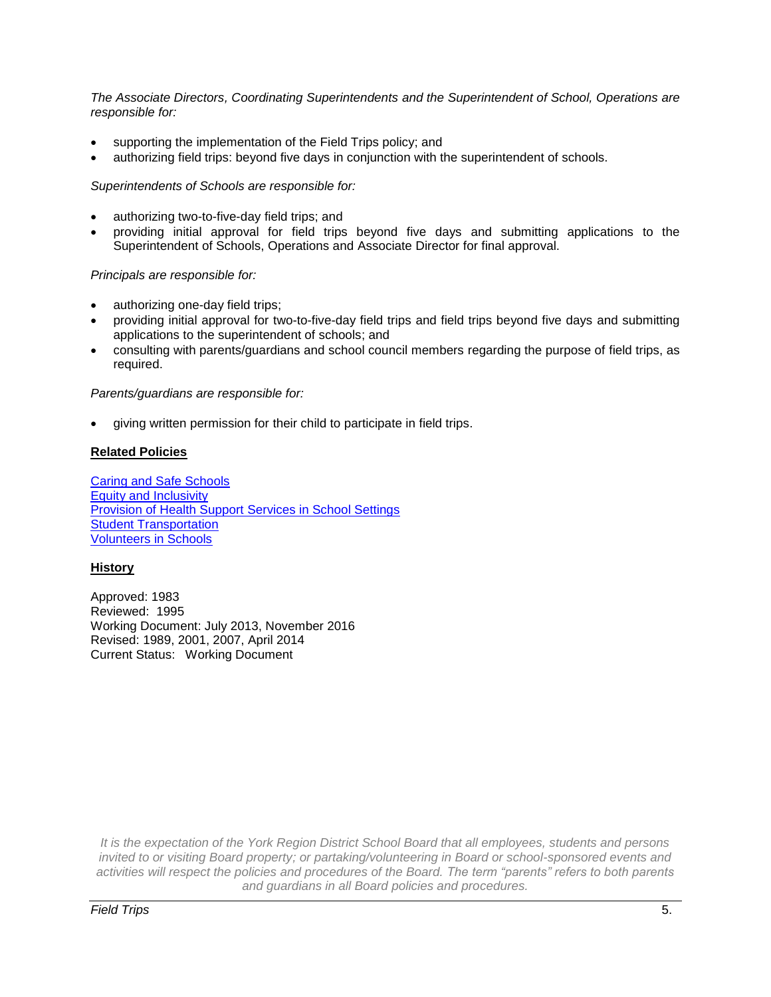*The Associate Directors, Coordinating Superintendents and the Superintendent of School, Operations are responsible for:*

- supporting the implementation of the Field Trips policy; and
- authorizing field trips: beyond five days in conjunction with the superintendent of schools.

*Superintendents of Schools are responsible for:*

- authorizing two-to-five-day field trips; and
- providing initial approval for field trips beyond five days and submitting applications to the Superintendent of Schools, Operations and Associate Director for final approval.

*Principals are responsible for:*

- authorizing one-day field trips;
- providing initial approval for two-to-five-day field trips and field trips beyond five days and submitting applications to the superintendent of schools; and
- consulting with parents/guardians and school council members regarding the purpose of field trips, as required.

*Parents/guardians are responsible for:*

giving written permission for their child to participate in field trips.

# **Related Policies**

[Caring and Safe Schools](http://www.yrdsb.ca/boarddocs/Documents/PP-review-safecaringandsupportiveschools-668.pdf) [Equity and Inclusivity](http://www.yrdsb.ca/boarddocs/Documents/POL-equityandinclusiveeducation-261.pdf) [Provision of Health Support](http://www.yrdsb.ca/boarddocs/Documents/PP-healthsupport-662.pdf) Services in School Settings [Student Transportation](http://www.yrdsb.ca/boarddocs/Documents/PP-transportationtoandfromschools-680.pdf) [Volunteers in Schools](http://www.yrdsb.ca/boarddocs/Documents/PP-volunteersinourschools-280.pdf)

# **History**

Approved: 1983 Reviewed: 1995 Working Document: July 2013, November 2016 Revised: 1989, 2001, 2007, April 2014 Current Status: Working Document

*It is the expectation of the York Region District School Board that all employees, students and persons invited to or visiting Board property; or partaking/volunteering in Board or school-sponsored events and activities will respect the policies and procedures of the Board. The term "parents" refers to both parents and guardians in all Board policies and procedures.*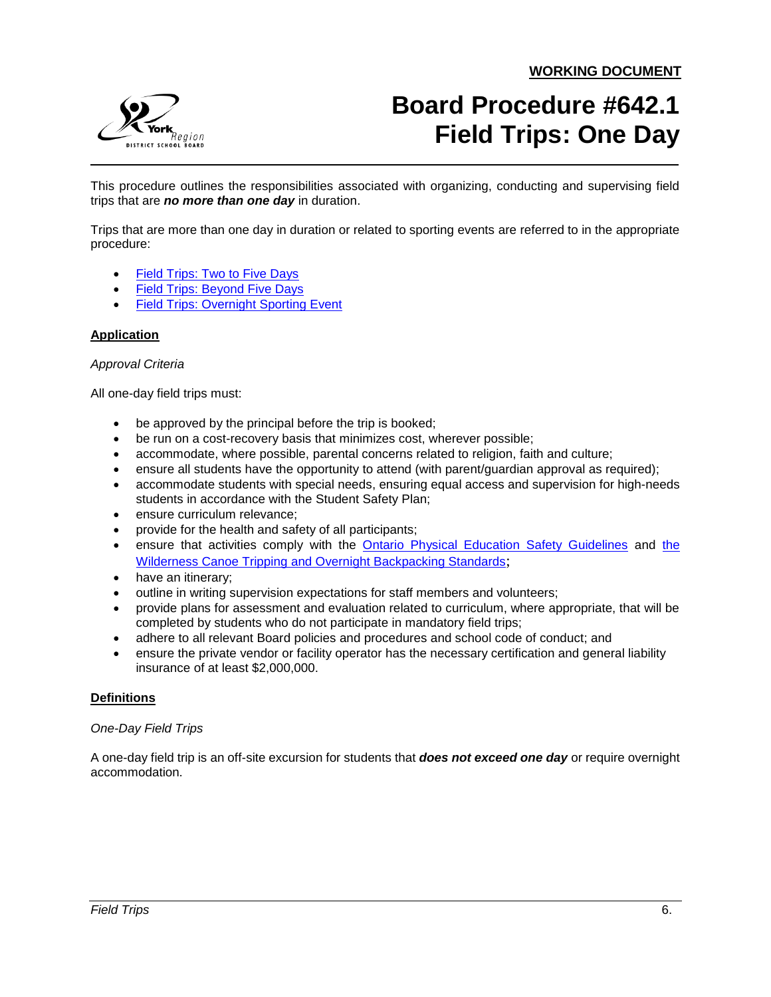

# <span id="page-5-0"></span>**Board Procedure #642.1 Field Trips: One Day**

This procedure outlines the responsibilities associated with organizing, conducting and supervising field trips that are *no more than one day* in duration.

Trips that are more than one day in duration or related to sporting events are referred to in the appropriate procedure:

- [Field Trips: Two to Five Days](#page-7-0)
- [Field Trips: Beyond Five Days](#page-13-0)
- **[Field Trips: Overnight Sporting Event](#page-19-0)**

### **Application**

### *Approval Criteria*

All one-day field trips must:

- be approved by the principal before the trip is booked;
- be run on a cost-recovery basis that minimizes cost, wherever possible;
- accommodate, where possible, parental concerns related to religion, faith and culture;
- ensure all students have the opportunity to attend (with parent/guardian approval as required);
- accommodate students with special needs, ensuring equal access and supervision for high-needs students in accordance with the Student Safety Plan;
- **ensure curriculum relevance;**
- provide for the health and safety of all participants;
- **ensure that activities comply with the [Ontario Physical Education Safety Guidelines](https://bww.yrdsb.ca/boarddocs/Pages/OPHEA.aspx) and the** [Wilderness Canoe Tripping and Overnight Backpacking Standards](https://bww.yrdsb.ca/boarddocs/Documents/SD-Safetystandardscanoeovernight.pdf);
- have an itinerary;
- outline in writing supervision expectations for staff members and volunteers;
- provide plans for assessment and evaluation related to curriculum, where appropriate, that will be completed by students who do not participate in mandatory field trips;
- adhere to all relevant Board policies and procedures and school code of conduct; and
- ensure the private vendor or facility operator has the necessary certification and general liability insurance of at least \$2,000,000.

### **Definitions**

### *One-Day Field Trips*

A one-day field trip is an off-site excursion for students that *does not exceed one day* or require overnight accommodation.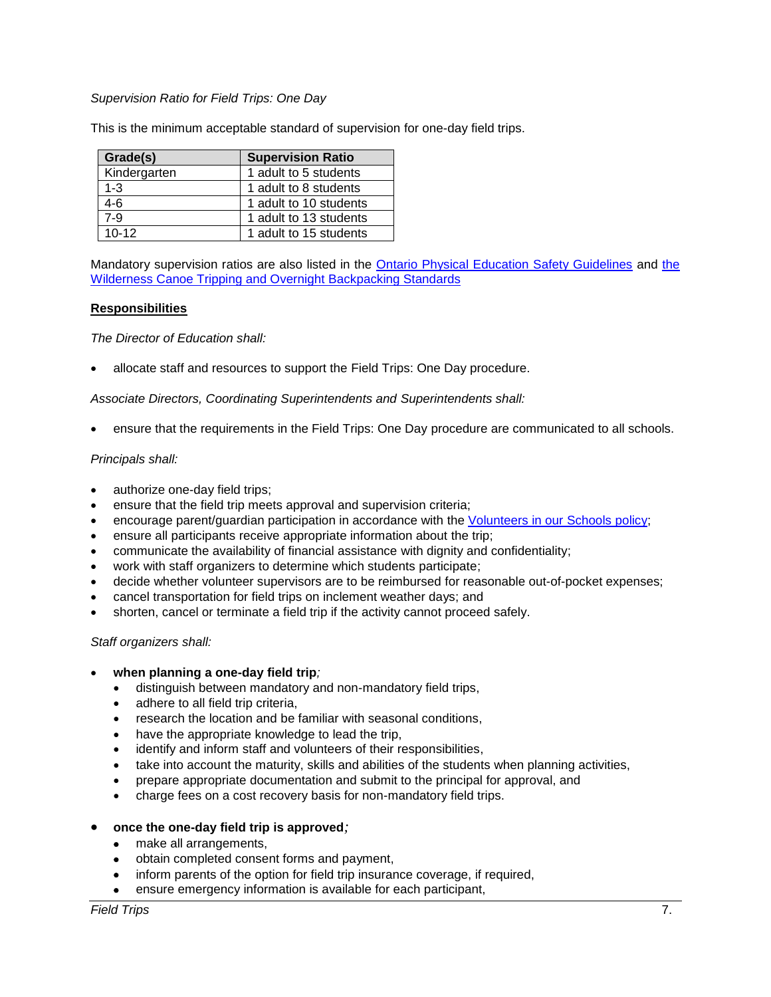## *Supervision Ratio for Field Trips: One Day*

This is the minimum acceptable standard of supervision for one-day field trips.

| Grade(s)     | <b>Supervision Ratio</b> |
|--------------|--------------------------|
| Kindergarten | 1 adult to 5 students    |
| $1 - 3$      | 1 adult to 8 students    |
| $4-6$        | 1 adult to 10 students   |
| 7-9          | 1 adult to 13 students   |
| $10 - 12$    | 1 adult to 15 students   |

Mandatory supervision ratios are also listed in the [Ontario Physical Education Safety Guidelines](https://bww.yrdsb.ca/boarddocs/Pages/OPHEA.aspx) and [the](https://bww.yrdsb.ca/boarddocs/Documents/SD-Safetystandardscanoeovernight.pdf)  [Wilderness Canoe Tripping and Overnight Backpacking Standards](https://bww.yrdsb.ca/boarddocs/Documents/SD-Safetystandardscanoeovernight.pdf)

## **Responsibilities**

*The Director of Education shall:*

allocate staff and resources to support the Field Trips: One Day procedure.

*Associate Directors, Coordinating Superintendents and Superintendents shall:*

ensure that the requirements in the Field Trips: One Day procedure are communicated to all schools.

## *Principals shall:*

- authorize one-day field trips;
- ensure that the field trip meets approval and supervision criteria;
- encourage parent/guardian participation in accordance with the [Volunteers in our Schools policy;](http://www.yrdsb.ca/boarddocs/Documents/PP-volunteersinourschools-280.pdf)
- ensure all participants receive appropriate information about the trip;
- communicate the availability of financial assistance with dignity and confidentiality;
- work with staff organizers to determine which students participate;
- decide whether volunteer supervisors are to be reimbursed for reasonable out-of-pocket expenses;
- cancel transportation for field trips on inclement weather days; and
- shorten, cancel or terminate a field trip if the activity cannot proceed safely.

### *Staff organizers shall:*

### **when planning a one-day field trip***;*

- distinguish between mandatory and non-mandatory field trips,
- adhere to all field trip criteria,
- research the location and be familiar with seasonal conditions,
- have the appropriate knowledge to lead the trip,
- identify and inform staff and volunteers of their responsibilities,
- take into account the maturity, skills and abilities of the students when planning activities,
- prepare appropriate documentation and submit to the principal for approval, and
- charge fees on a cost recovery basis for non-mandatory field trips.
- **once the one-day field trip is approved***;*
	- make all arrangements,
	- obtain completed consent forms and payment,
	- inform parents of the option for field trip insurance coverage, if required,
	- ensure emergency information is available for each participant,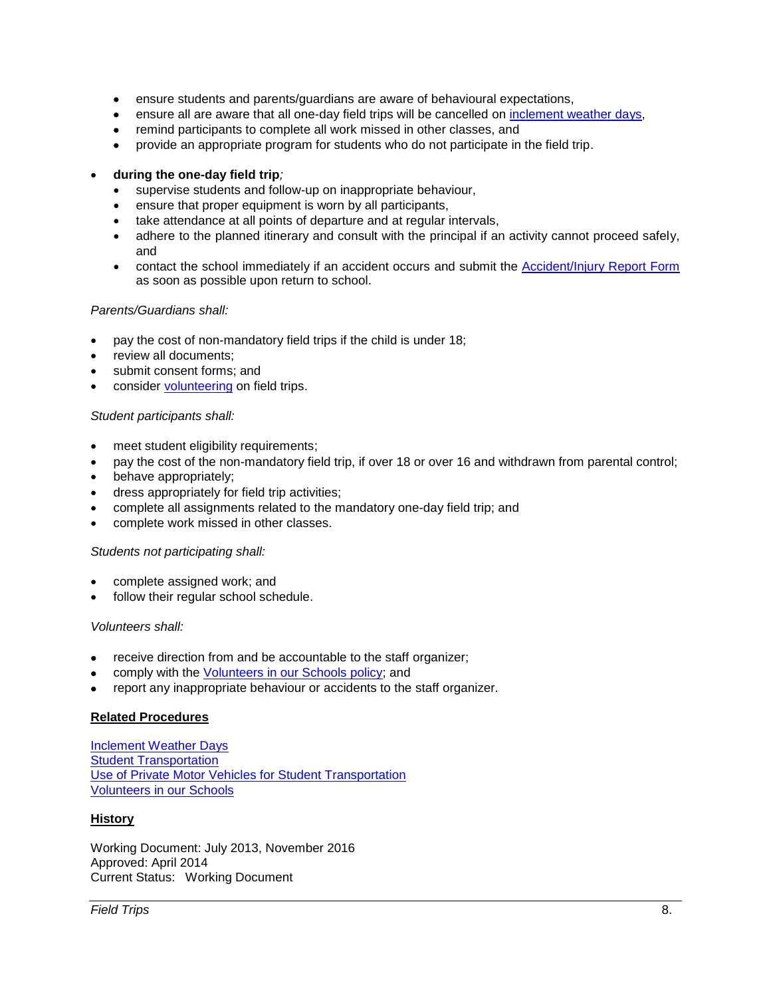- ensure students and parents/guardians are aware of behavioural expectations,
- ensure all are aware that all one-day field trips will be cancelled on [inclement weather days,](http://www.yrdsb.ca/boarddocs/Documents/PP-inclementweatherandemergencyconditionsdays-152.0.pdf)
- remind participants to complete all work missed in other classes, and
- provide an appropriate program for students who do not participate in the field trip.

# **during the one-day field trip***;*

- supervise students and follow-up on inappropriate behaviour,
- ensure that proper equipment is worn by all participants,
- take attendance at all points of departure and at regular intervals,
- adhere to the planned itinerary and consult with the principal if an activity cannot proceed safely, and
- contact the school immediately if an accident occurs and submit the [Accident/Injury Report Form](https://bww.yrdsb.ca/boarddocs/Documents/FOR-studaccident-674-04.pdf) as soon as possible upon return to school.

# *Parents/Guardians shall:*

- pay the cost of non-mandatory field trips if the child is under 18;
- review all documents;
- submit consent forms; and
- **•** consider [volunteering](http://www.yrdsb.ca/boarddocs/Documents/PP-volunteersinourschools-280.pdf) on field trips.

# *Student participants shall:*

- meet student eligibility requirements;
- pay the cost of the non-mandatory field trip, if over 18 or over 16 and withdrawn from parental control;
- behave appropriately;
- dress appropriately for field trip activities;
- complete all assignments related to the mandatory one-day field trip; and
- complete work missed in other classes.

# *Students not participating shall:*

- complete assigned work; and
- follow their regular school schedule.

# *Volunteers shall:*

- receive direction from and be accountable to the staff organizer;
- comply with the [Volunteers in our Schools policy;](http://www.yrdsb.ca/boarddocs/Documents/PP-volunteersinourschools-280.pdf) and
- report any inappropriate behaviour or accidents to the staff organizer.

# **Related Procedures**

[Inclement Weather Days](http://www.yrdsb.ca/boarddocs/Documents/PP-inclementweatherandemergencyconditionsdays-152.0.pdf) [Student Transportation](http://www.yrdsb.ca/boarddocs/Documents/PP-transportationtoandfromschools-680.pdf) [Use of Private Motor Vehicles for Student Transportation](http://www.yrdsb.ca/boarddocs/Documents/PRO-privatecars-679.pdf) [Volunteers in our Schools](http://www.yrdsb.ca/boarddocs/Documents/PP-volunteersinourschools-280.pdf)

# **History**

<span id="page-7-0"></span>Working Document: July 2013, November 2016 Approved: April 2014 Current Status: Working Document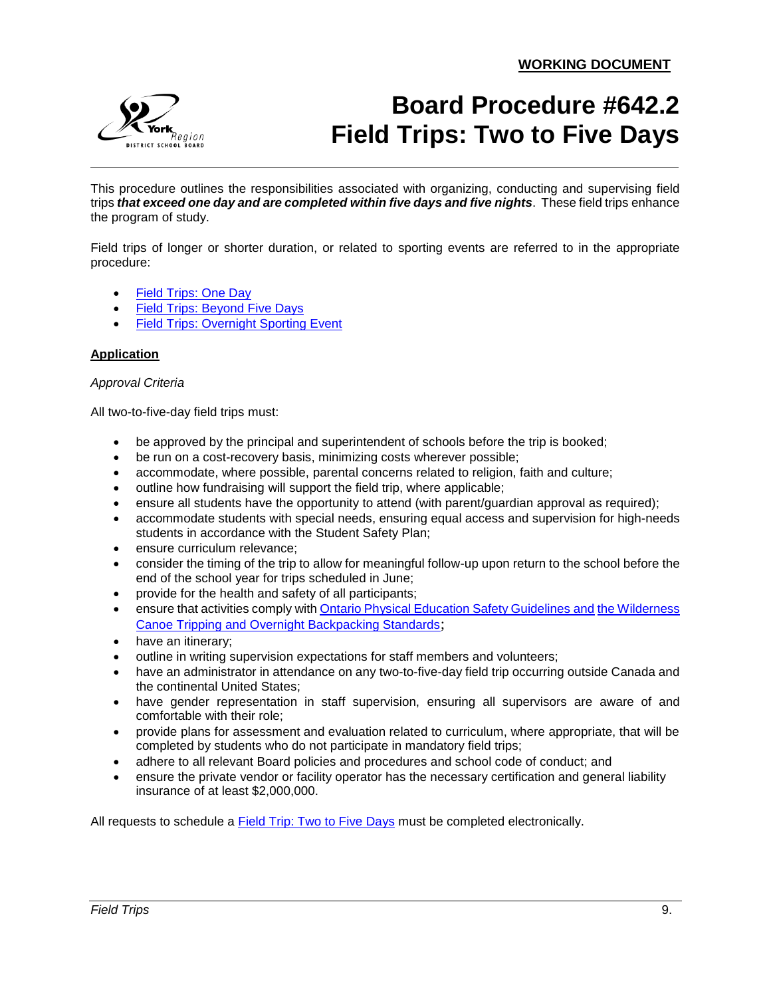**WORKING DOCUMENT**



# **Board Procedure #642.2 Field Trips: Two to Five Days**

This procedure outlines the responsibilities associated with organizing, conducting and supervising field trips *that exceed one day and are completed within five days and five nights*. These field trips enhance the program of study.

Field trips of longer or shorter duration, or related to sporting events are referred to in the appropriate procedure:

- [Field Trips: One Day](#page-5-0)
- [Field Trips: Beyond Five Days](#page-13-0)
- Field [Trips: Overnight Sporting Event](#page-19-0)

# **Application**

## *Approval Criteria*

All two-to-five-day field trips must:

- be approved by the principal and superintendent of schools before the trip is booked;
- be run on a cost-recovery basis, minimizing costs wherever possible;
- accommodate, where possible, parental concerns related to religion, faith and culture;
- outline how fundraising will support the field trip, where applicable;
- ensure all students have the opportunity to attend (with parent/guardian approval as required);
- accommodate students with special needs, ensuring equal access and supervision for high-needs students in accordance with the Student Safety Plan;
- ensure curriculum relevance;
- consider the timing of the trip to allow for meaningful follow-up upon return to the school before the end of the school year for trips scheduled in June;
- provide for the health and safety of all participants;
- **e** ensure that activities comply with **[Ontario Physical Education Safety Guidelines](https://bww.yrdsb.ca/boarddocs/Pages/OPHEA.aspx) and the Wilderness** [Canoe Tripping and Overnight Backpacking Standards](https://bww.yrdsb.ca/boarddocs/Documents/SD-Safetystandardscanoeovernight.pdf);
- have an itinerary;
- outline in writing supervision expectations for staff members and volunteers;
- have an administrator in attendance on any two-to-five-day field trip occurring outside Canada and the continental United States;
- have gender representation in staff supervision, ensuring all supervisors are aware of and comfortable with their role;
- provide plans for assessment and evaluation related to curriculum, where appropriate, that will be completed by students who do not participate in mandatory field trips;
- adhere to all relevant Board policies and procedures and school code of conduct; and
- ensure the private vendor or facility operator has the necessary certification and general liability insurance of at least \$2,000,000.

All requests to schedule a [Field Trip: Two to Five Days](https://webapps.yrdsb.ca/forms/Schools/FieldTrip/Pages/Short-Term-Overnight.aspx) must be completed electronically.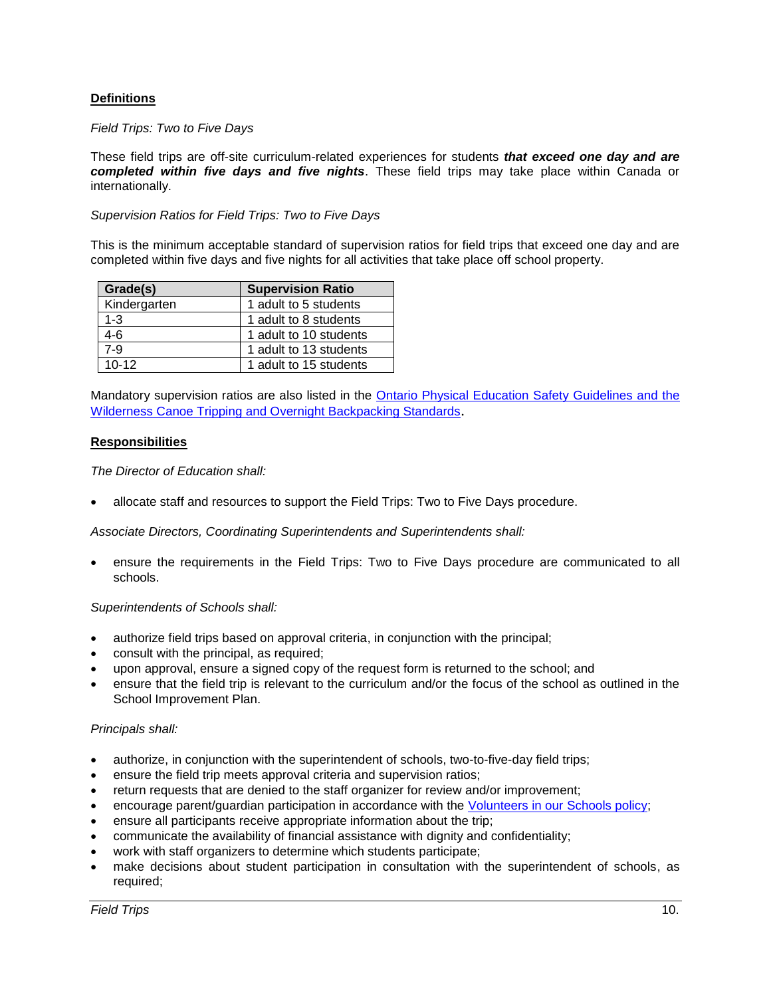# **Definitions**

## *Field Trips: Two to Five Days*

These field trips are off-site curriculum-related experiences for students *that exceed one day and are completed within five days and five nights*. These field trips may take place within Canada or internationally.

## *Supervision Ratios for Field Trips: Two to Five Days*

This is the minimum acceptable standard of supervision ratios for field trips that exceed one day and are completed within five days and five nights for all activities that take place off school property.

| Grade(s)     | <b>Supervision Ratio</b> |
|--------------|--------------------------|
| Kindergarten | 1 adult to 5 students    |
| $1 - 3$      | 1 adult to 8 students    |
| $4-6$        | 1 adult to 10 students   |
| 7-9          | 1 adult to 13 students   |
| $10-12$      | 1 adult to 15 students   |

Mandatory supervision ratios are also listed in the [Ontario Physical Education Safety Guidelines](https://bww.yrdsb.ca/boarddocs/Pages/OPHEA.aspx) and [the](https://bww.yrdsb.ca/boarddocs/Documents/SD-Safetystandardscanoeovernight.pdf)  [Wilderness Canoe Tripping and Overnight Backpacking Standards](https://bww.yrdsb.ca/boarddocs/Documents/SD-Safetystandardscanoeovernight.pdf).

# **Responsibilities**

*The Director of Education shall:*

allocate staff and resources to support the Field Trips: Two to Five Days procedure.

*Associate Directors, Coordinating Superintendents and Superintendents shall:*

 ensure the requirements in the Field Trips: Two to Five Days procedure are communicated to all schools.

### *Superintendents of Schools shall:*

- authorize field trips based on approval criteria, in conjunction with the principal;
- consult with the principal, as required;
- upon approval, ensure a signed copy of the request form is returned to the school; and
- ensure that the field trip is relevant to the curriculum and/or the focus of the school as outlined in the School Improvement Plan.

### *Principals shall:*

- authorize, in conjunction with the superintendent of schools, two-to-five-day field trips;
- ensure the field trip meets approval criteria and supervision ratios;
- return requests that are denied to the staff organizer for review and/or improvement;
- encourage parent/guardian participation in accordance with the [Volunteers in our Schools policy;](http://www.yrdsb.ca/boarddocs/Documents/PP-volunteersinourschools-280.pdf)
- ensure all participants receive appropriate information about the trip;
- communicate the availability of financial assistance with dignity and confidentiality;
- work with staff organizers to determine which students participate;
- make decisions about student participation in consultation with the superintendent of schools, as required;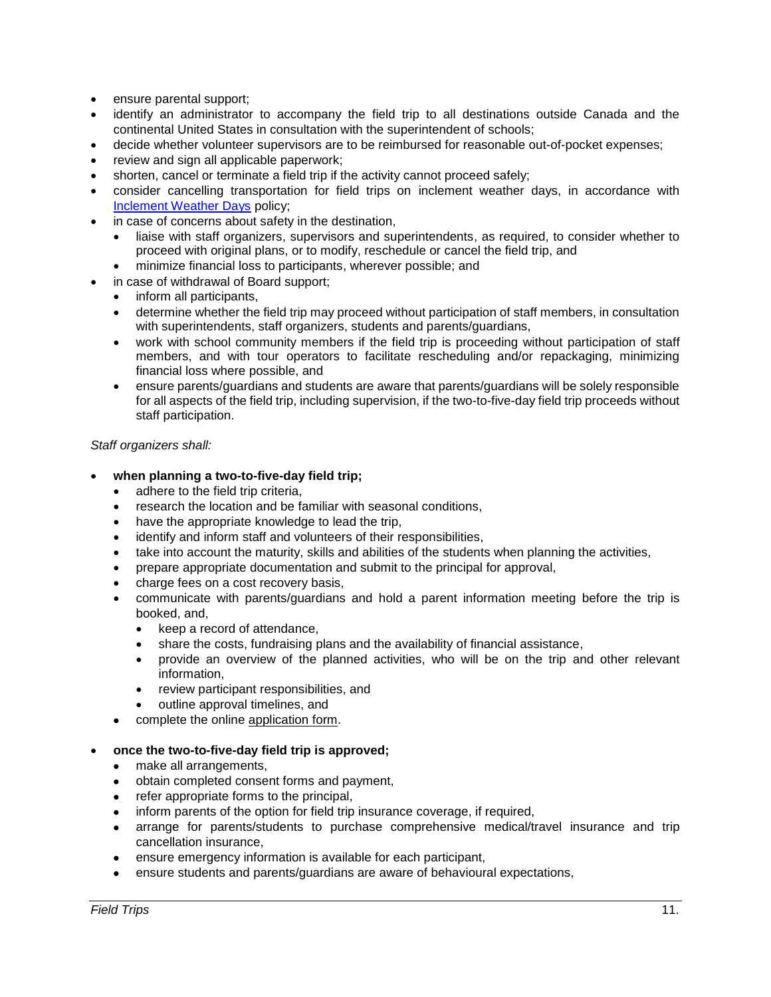- ensure parental support;
- identify an administrator to accompany the field trip to all destinations outside Canada and the continental United States in consultation with the superintendent of schools;
- decide whether volunteer supervisors are to be reimbursed for reasonable out-of-pocket expenses;
- review and sign all applicable paperwork;
- shorten, cancel or terminate a field trip if the activity cannot proceed safely;
- consider cancelling transportation for field trips on inclement weather days, in accordance with [Inclement Weather Days](http://www.yrdsb.ca/boarddocs/Documents/PP-inclementweatherandemergencyconditionsdays-152.0.pdf) policy;
- in case of concerns about safety in the destination,
	- liaise with staff organizers, supervisors and superintendents, as required, to consider whether to proceed with original plans, or to modify, reschedule or cancel the field trip, and
	- minimize financial loss to participants, wherever possible; and
- in case of withdrawal of Board support;
	- inform all participants,
	- determine whether the field trip may proceed without participation of staff members, in consultation with superintendents, staff organizers, students and parents/guardians,
	- work with school community members if the field trip is proceeding without participation of staff members, and with tour operators to facilitate rescheduling and/or repackaging, minimizing financial loss where possible, and
	- ensure parents/guardians and students are aware that parents/guardians will be solely responsible for all aspects of the field trip, including supervision, if the two-to-five-day field trip proceeds without staff participation.

# *Staff organizers shall:*

- **when planning a two-to-five-day field trip;** 
	- adhere to the field trip criteria,
	- research the location and be familiar with seasonal conditions,
	- have the appropriate knowledge to lead the trip,
	- identify and inform staff and volunteers of their responsibilities,
	- take into account the maturity, skills and abilities of the students when planning the activities,
	- prepare appropriate documentation and submit to the principal for approval,
	- charge fees on a cost recovery basis,
	- communicate with parents/guardians and hold a parent information meeting before the trip is booked, and,
		- keep a record of attendance,
		- share the costs, fundraising plans and the availability of financial assistance,
		- provide an overview of the planned activities, who will be on the trip and other relevant information,
		- review participant responsibilities, and
		- outline approval timelines, and
	- complete the online application form.
- **once the two-to-five-day field trip is approved;** 
	- make all arrangements,
	- obtain completed consent forms and payment,
	- refer appropriate forms to the principal,
	- inform parents of the option for field trip insurance coverage, if required,
	- arrange for parents/students to purchase comprehensive medical/travel insurance and trip cancellation insurance,
	- ensure emergency information is available for each participant,
	- ensure students and parents/guardians are aware of behavioural expectations,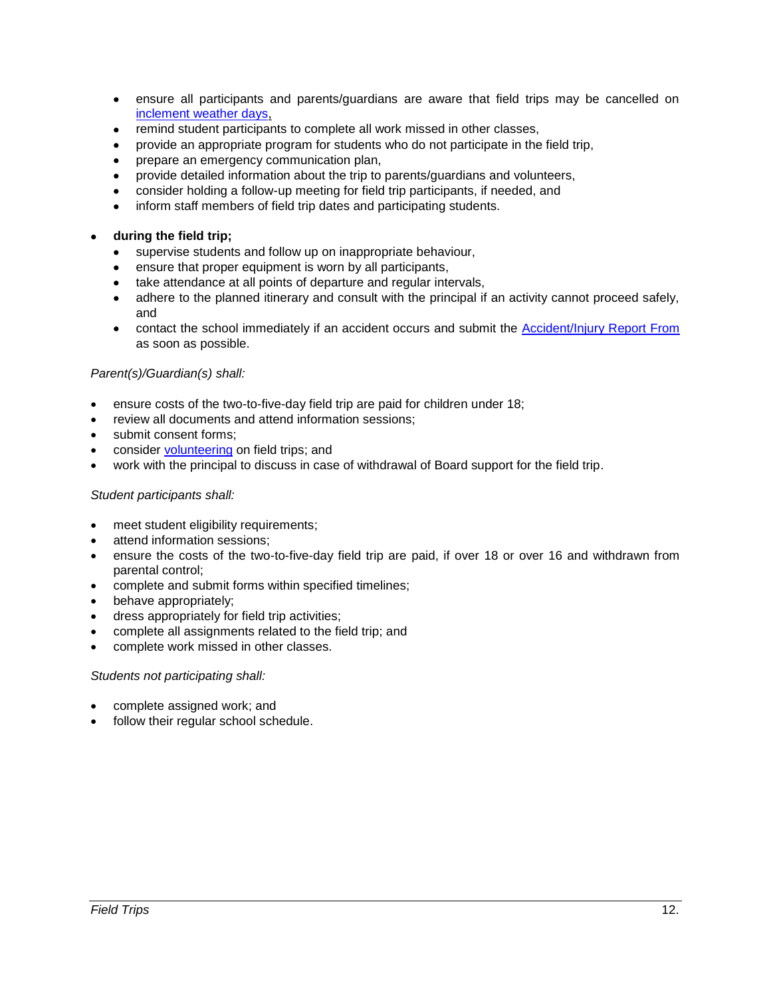- ensure all participants and parents/guardians are aware that field trips may be cancelled on [inclement weather days,](http://www.yrdsb.ca/boarddocs/Documents/PP-inclementweatherandemergencyconditionsdays-152.0.pdf)
- remind student participants to complete all work missed in other classes,
- provide an appropriate program for students who do not participate in the field trip,
- prepare an emergency communication plan,
- provide detailed information about the trip to parents/guardians and volunteers,
- consider holding a follow-up meeting for field trip participants, if needed, and
- inform staff members of field trip dates and participating students.

## **during the field trip;**

- supervise students and follow up on inappropriate behaviour,
- ensure that proper equipment is worn by all participants,
- take attendance at all points of departure and regular intervals,
- adhere to the planned itinerary and consult with the principal if an activity cannot proceed safely, and
- contact the school immediately if an accident occurs and submit the [Accident/Injury Report From](https://bww.yrdsb.ca/boarddocs/Documents/FOR-studaccident-674-04.pdf) as soon as possible.

## *Parent(s)/Guardian(s) shall:*

- ensure costs of the two-to-five-day field trip are paid for children under 18;
- review all documents and attend information sessions;
- submit consent forms;
- consider [volunteering](http://www.yrdsb.ca/boarddocs/Documents/PP-volunteersinourschools-280.pdf) on field trips; and
- work with the principal to discuss in case of withdrawal of Board support for the field trip.

### *Student participants shall:*

- meet student eligibility requirements;
- attend information sessions;
- ensure the costs of the two-to-five-day field trip are paid, if over 18 or over 16 and withdrawn from parental control;
- complete and submit forms within specified timelines;
- behave appropriately;
- dress appropriately for field trip activities;
- complete all assignments related to the field trip; and
- complete work missed in other classes.

### *Students not participating shall:*

- complete assigned work; and
- follow their regular school schedule.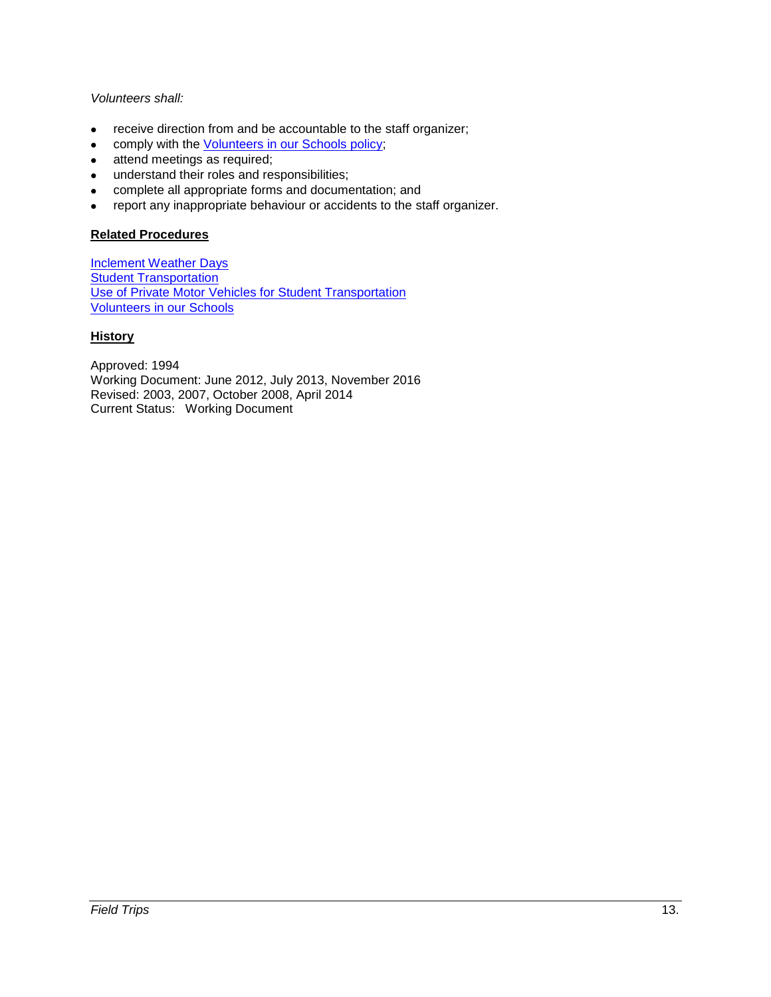## *Volunteers shall:*

- receive direction from and be accountable to the staff organizer;
- **•** comply with the **Volunteers in our Schools policy**;
- attend meetings as required;
- understand their roles and responsibilities;
- complete all appropriate forms and documentation; and
- report any inappropriate behaviour or accidents to the staff organizer.

## **Related Procedures**

**[Inclement Weather Days](http://www.yrdsb.ca/boarddocs/Documents/PP-inclementweatherandemergencyconditionsdays-152.0.pdf)** [Student Transportation](http://www.yrdsb.ca/boarddocs/Documents/PP-transportationtoandfromschools-680.pdf) [Use of Private Motor Vehicles for Student Transportation](http://www.yrdsb.ca/boarddocs/Documents/PRO-privatecars-679.pdf) [Volunteers in our Schools](http://www.yrdsb.ca/boarddocs/Documents/PP-volunteersinourschools-280.pdf)

## **History**

Approved: 1994 Working Document: June 2012, July 2013, November 2016 Revised: 2003, 2007, October 2008, April 2014 Current Status: Working Document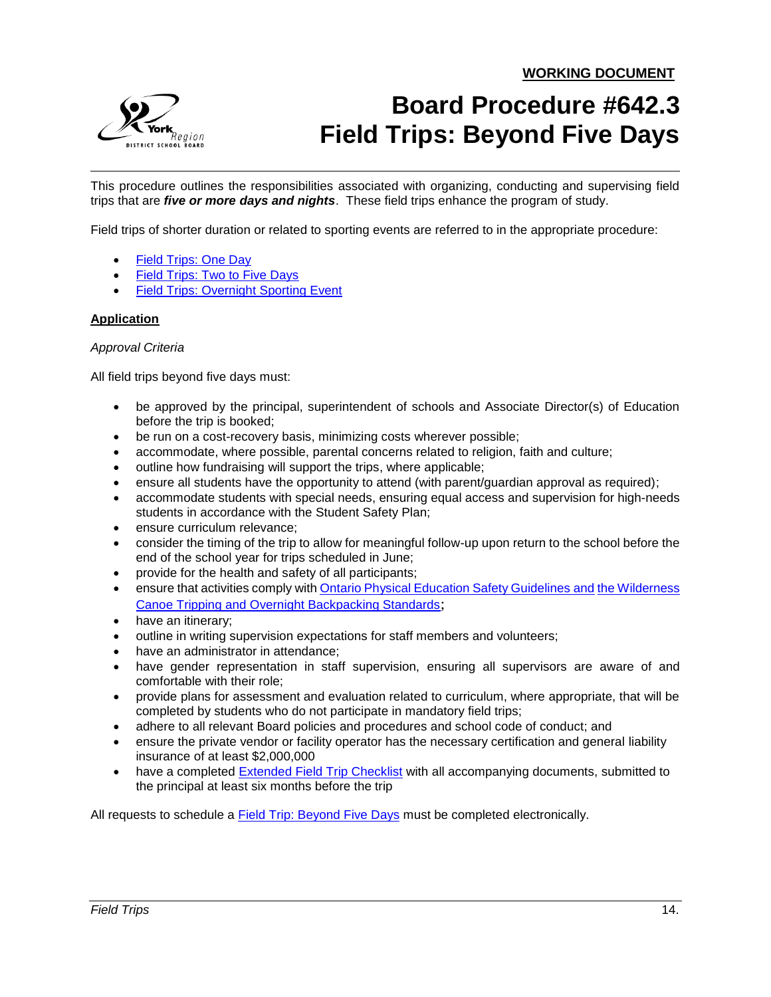<span id="page-13-0"></span>**WORKING DOCUMENT**



# **Board Procedure #642.3 Field Trips: Beyond Five Days**

This procedure outlines the responsibilities associated with organizing, conducting and supervising field trips that are *five or more days and nights*. These field trips enhance the program of study.

Field trips of shorter duration or related to sporting events are referred to in the appropriate procedure:

- [Field Trips: One Day](#page-5-0)
- [Field Trips: Two to Five Days](#page-7-0)
- [Field Trips: Overnight Sporting Event](#page-19-0)

# **Application**

### *Approval Criteria*

All field trips beyond five days must:

- be approved by the principal, superintendent of schools and Associate Director(s) of Education before the trip is booked;
- be run on a cost-recovery basis, minimizing costs wherever possible;
- accommodate, where possible, parental concerns related to religion, faith and culture;
- outline how fundraising will support the trips, where applicable;
- ensure all students have the opportunity to attend (with parent/guardian approval as required);
- accommodate students with special needs, ensuring equal access and supervision for high-needs students in accordance with the Student Safety Plan;
- ensure curriculum relevance;
- consider the timing of the trip to allow for meaningful follow-up upon return to the school before the end of the school year for trips scheduled in June;
- provide for the health and safety of all participants;
- ensure that activities comply with [Ontario Physical Education Safety Guidelines](https://bww.yrdsb.ca/boarddocs/Pages/OPHEA.aspx) and [the Wilderness](https://bww.yrdsb.ca/boarddocs/Documents/SD-Safetystandardscanoeovernight.pdf)  [Canoe Tripping and Overnight Backpacking Standards](https://bww.yrdsb.ca/boarddocs/Documents/SD-Safetystandardscanoeovernight.pdf);
- have an itinerary;
- outline in writing supervision expectations for staff members and volunteers;
- have an administrator in attendance;
- have gender representation in staff supervision, ensuring all supervisors are aware of and comfortable with their role;
- provide plans for assessment and evaluation related to curriculum, where appropriate, that will be completed by students who do not participate in mandatory field trips;
- adhere to all relevant Board policies and procedures and school code of conduct; and
- ensure the private vendor or facility operator has the necessary certification and general liability insurance of at least \$2,000,000
- have a completed [Extended Field Trip Checklist](https://bww.yrdsb.ca/boarddocs/Documents/SD-extendedstudentstudytours-checklist.pdf) with all accompanying documents, submitted to the principal at least six months before the trip

All requests to schedule a **Field Trip: Beyond Five Days** must be completed electronically.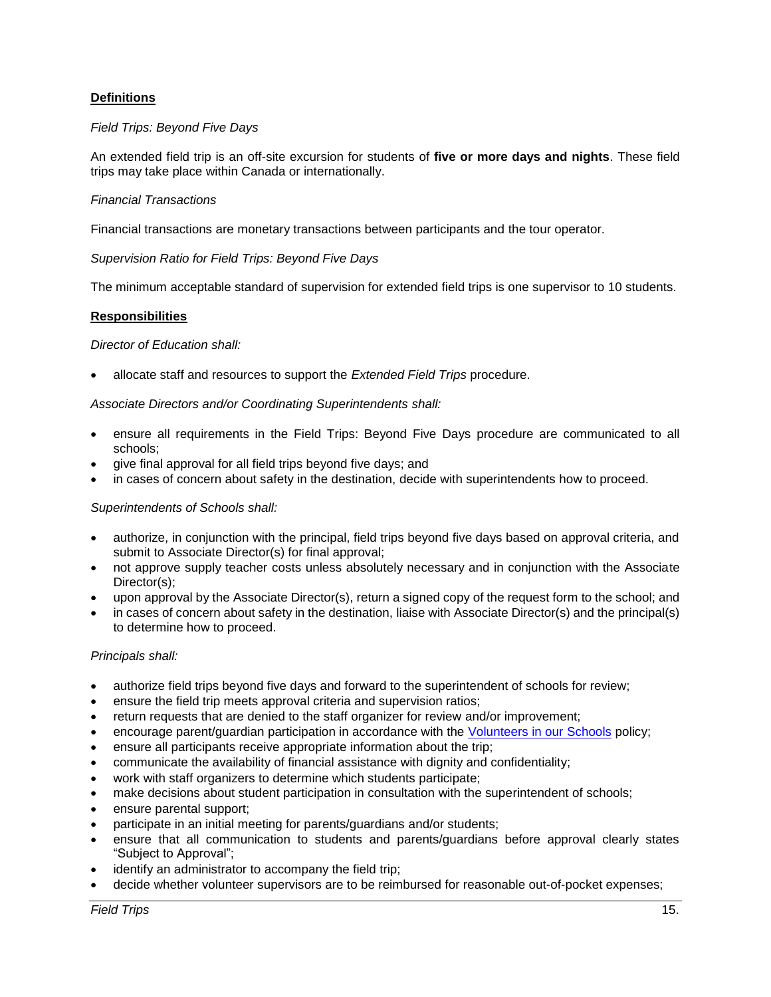# **Definitions**

# *Field Trips: Beyond Five Days*

An extended field trip is an off-site excursion for students of **five or more days and nights**. These field trips may take place within Canada or internationally.

## *Financial Transactions*

Financial transactions are monetary transactions between participants and the tour operator.

## *Supervision Ratio for Field Trips: Beyond Five Days*

The minimum acceptable standard of supervision for extended field trips is one supervisor to 10 students.

## **Responsibilities**

### *Director of Education shall:*

allocate staff and resources to support the *Extended Field Trips* procedure.

*Associate Directors and/or Coordinating Superintendents shall:*

- ensure all requirements in the Field Trips: Beyond Five Days procedure are communicated to all schools;
- give final approval for all field trips beyond five days; and
- in cases of concern about safety in the destination, decide with superintendents how to proceed.

### *Superintendents of Schools shall:*

- authorize, in conjunction with the principal, field trips beyond five days based on approval criteria, and submit to Associate Director(s) for final approval;
- not approve supply teacher costs unless absolutely necessary and in conjunction with the Associate Director(s);
- upon approval by the Associate Director(s), return a signed copy of the request form to the school; and
- in cases of concern about safety in the destination, liaise with Associate Director(s) and the principal(s) to determine how to proceed.

# *Principals shall:*

- authorize field trips beyond five days and forward to the superintendent of schools for review;
- ensure the field trip meets approval criteria and supervision ratios;
- return requests that are denied to the staff organizer for review and/or improvement;
- encourage parent/guardian participation in accordance with the [Volunteers in our Schools](http://www.yrdsb.ca/boarddocs/Documents/PP-volunteersinourschools-280.pdf) policy;
- ensure all participants receive appropriate information about the trip;
- communicate the availability of financial assistance with dignity and confidentiality;
- work with staff organizers to determine which students participate;
- make decisions about student participation in consultation with the superintendent of schools;
- ensure parental support;
- participate in an initial meeting for parents/guardians and/or students;
- ensure that all communication to students and parents/guardians before approval clearly states "Subject to Approval";
- identify an administrator to accompany the field trip;
- decide whether volunteer supervisors are to be reimbursed for reasonable out-of-pocket expenses;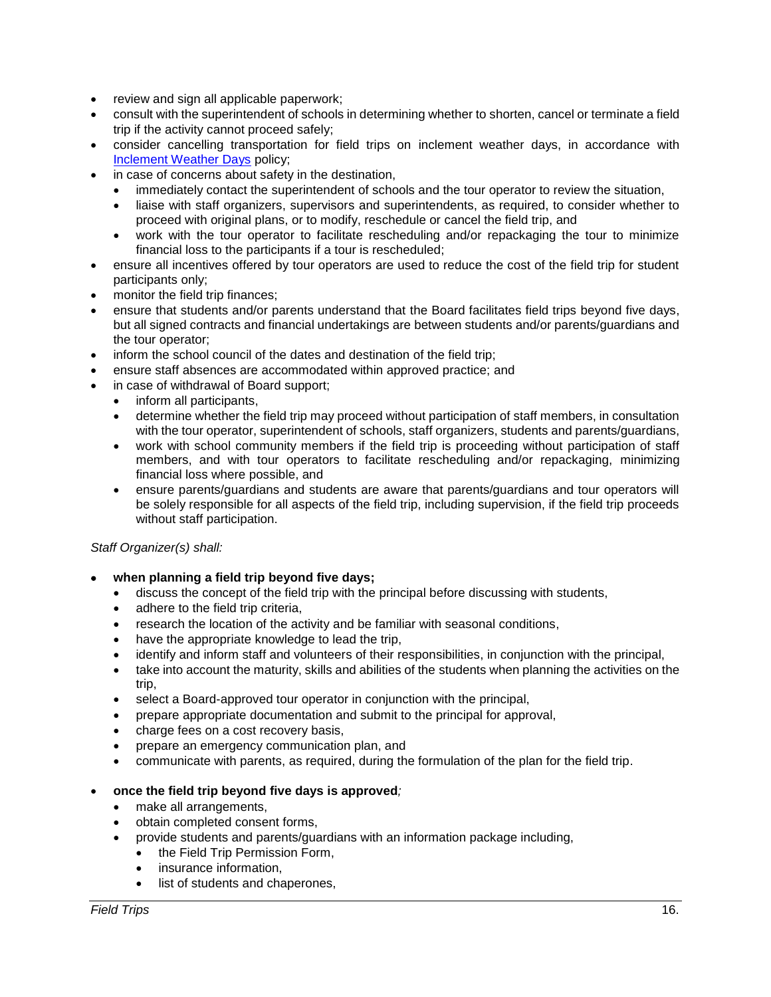- review and sign all applicable paperwork;
- consult with the superintendent of schools in determining whether to shorten, cancel or terminate a field trip if the activity cannot proceed safely;
- consider cancelling transportation for field trips on inclement weather days, in accordance with [Inclement Weather Days](http://www.yrdsb.ca/boarddocs/Documents/PP-inclementweatherandemergencyconditionsdays-152.0.pdf) policy;
- in case of concerns about safety in the destination,
	- immediately contact the superintendent of schools and the tour operator to review the situation,
	- liaise with staff organizers, supervisors and superintendents, as required, to consider whether to proceed with original plans, or to modify, reschedule or cancel the field trip, and
	- work with the tour operator to facilitate rescheduling and/or repackaging the tour to minimize financial loss to the participants if a tour is rescheduled;
- ensure all incentives offered by tour operators are used to reduce the cost of the field trip for student participants only;
- monitor the field trip finances;
- ensure that students and/or parents understand that the Board facilitates field trips beyond five days, but all signed contracts and financial undertakings are between students and/or parents/guardians and the tour operator;
- inform the school council of the dates and destination of the field trip;
- ensure staff absences are accommodated within approved practice; and
- in case of withdrawal of Board support;
	- inform all participants,
	- determine whether the field trip may proceed without participation of staff members, in consultation with the tour operator, superintendent of schools, staff organizers, students and parents/guardians,
	- work with school community members if the field trip is proceeding without participation of staff members, and with tour operators to facilitate rescheduling and/or repackaging, minimizing financial loss where possible, and
	- ensure parents/guardians and students are aware that parents/guardians and tour operators will be solely responsible for all aspects of the field trip, including supervision, if the field trip proceeds without staff participation.

# *Staff Organizer(s) shall:*

- **when planning a field trip beyond five days;**
	- discuss the concept of the field trip with the principal before discussing with students,
	- adhere to the field trip criteria,
	- research the location of the activity and be familiar with seasonal conditions,
	- have the appropriate knowledge to lead the trip,
	- identify and inform staff and volunteers of their responsibilities, in conjunction with the principal,
	- take into account the maturity, skills and abilities of the students when planning the activities on the trip,
	- select a Board-approved tour operator in conjunction with the principal,
	- prepare appropriate documentation and submit to the principal for approval,
	- charge fees on a cost recovery basis,
	- prepare an emergency communication plan, and
	- communicate with parents, as required, during the formulation of the plan for the field trip.

# **once the field trip beyond five days is approved***;*

- make all arrangements,
- obtain completed consent forms,
- provide students and parents/guardians with an information package including,
	- the Field Trip Permission Form,
	- insurance information,
	- list of students and chaperones,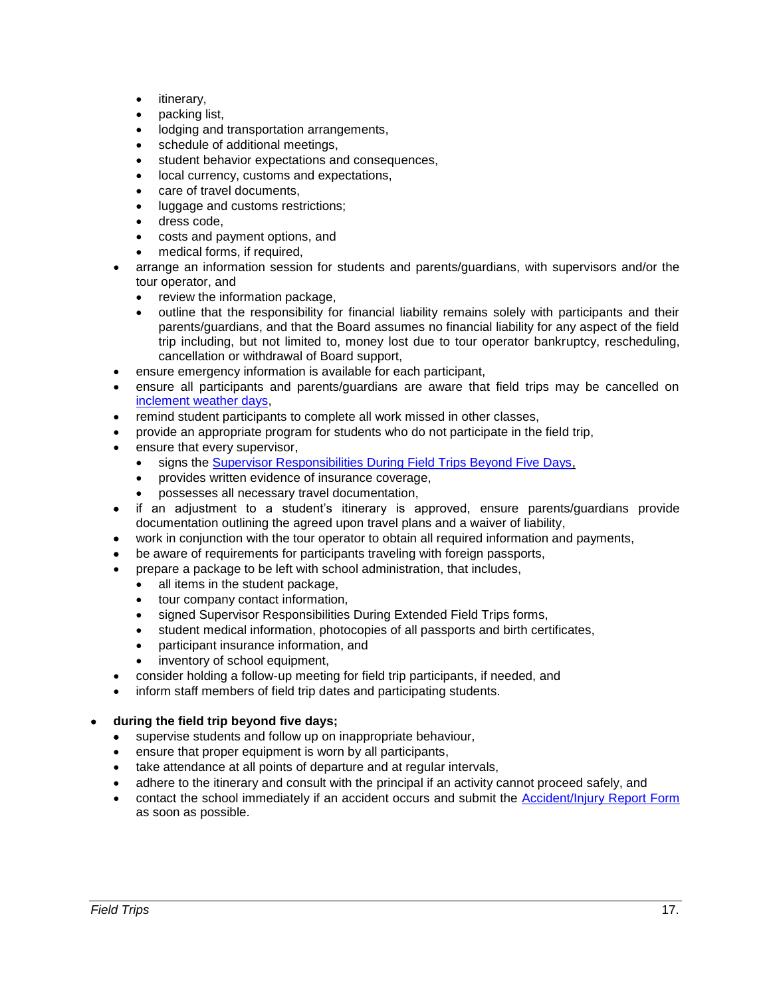- itinerary,
- packing list,
- lodging and transportation arrangements,
- schedule of additional meetings,
- student behavior expectations and consequences,
- local currency, customs and expectations,
- care of travel documents,
- luggage and customs restrictions;
- dress code,
- costs and payment options, and
- medical forms, if required,
- arrange an information session for students and parents/guardians, with supervisors and/or the tour operator, and
	- review the information package,
	- outline that the responsibility for financial liability remains solely with participants and their parents/guardians, and that the Board assumes no financial liability for any aspect of the field trip including, but not limited to, money lost due to tour operator bankruptcy, rescheduling, cancellation or withdrawal of Board support,
- ensure emergency information is available for each participant,
- ensure all participants and parents/guardians are aware that field trips may be cancelled on [inclement weather days,](http://www.yrdsb.ca/boarddocs/Documents/PP-inclementweatherandemergencyconditionsdays-152.0.pdf)
- remind student participants to complete all work missed in other classes,
- provide an appropriate program for students who do not participate in the field trip,
- ensure that every supervisor,
	- signs the [Supervisor Responsibilities During Field Trips Beyond Five Days,](https://bww.yrdsb.ca/boarddocs/Documents/FOR-extendedstudentstudytours-supervisionexpectations.pdf)
	- provides written evidence of insurance coverage,
	- possesses all necessary travel documentation,
- if an adjustment to a student's itinerary is approved, ensure parents/guardians provide documentation outlining the agreed upon travel plans and a waiver of liability,
- work in conjunction with the tour operator to obtain all required information and payments,
- be aware of requirements for participants traveling with foreign passports,
- prepare a package to be left with school administration, that includes,
	- all items in the student package,
	- tour company contact information,
	- signed Supervisor Responsibilities During Extended Field Trips forms,
	- student medical information, photocopies of all passports and birth certificates,
	- participant insurance information, and
	- inventory of school equipment,
- consider holding a follow-up meeting for field trip participants, if needed, and
- inform staff members of field trip dates and participating students.

# **during the field trip beyond five days;**

- supervise students and follow up on inappropriate behaviour,
- ensure that proper equipment is worn by all participants,
- take attendance at all points of departure and at regular intervals,
- adhere to the itinerary and consult with the principal if an activity cannot proceed safely, and
- contact the school immediately if an accident occurs and submit the [Accident/Injury Report Form](https://bww.yrdsb.ca/boarddocs/Documents/FOR-studaccident-674-04.pdf) as soon as possible.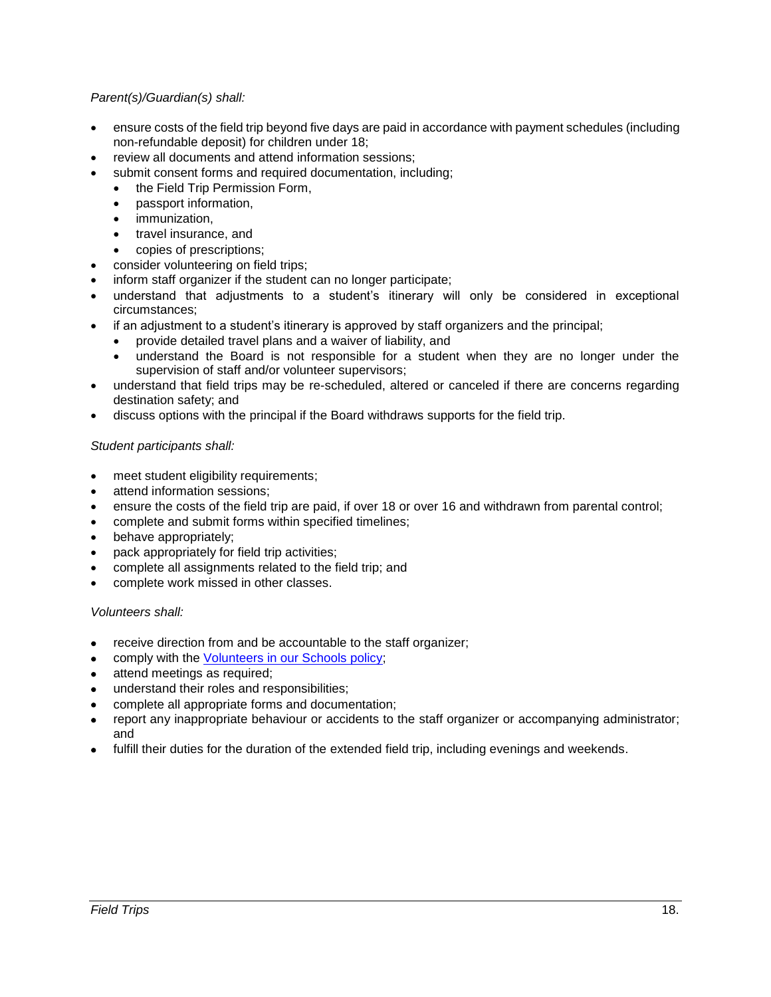# *Parent(s)/Guardian(s) shall:*

- ensure costs of the field trip beyond five days are paid in accordance with payment schedules (including non-refundable deposit) for children under 18;
- review all documents and attend information sessions;
- submit consent forms and required documentation, including;
	- the Field Trip Permission Form,
	- passport information,
	- immunization,
	- travel insurance, and
	- copies of prescriptions;
- consider volunteering on field trips;
- inform staff organizer if the student can no longer participate;
- understand that adjustments to a student's itinerary will only be considered in exceptional circumstances;
- if an adjustment to a student's itinerary is approved by staff organizers and the principal;
	- provide detailed travel plans and a waiver of liability, and
	- understand the Board is not responsible for a student when they are no longer under the supervision of staff and/or volunteer supervisors;
- understand that field trips may be re-scheduled, altered or canceled if there are concerns regarding destination safety; and
- discuss options with the principal if the Board withdraws supports for the field trip.

# *Student participants shall:*

- meet student eligibility requirements;
- attend information sessions;
- ensure the costs of the field trip are paid, if over 18 or over 16 and withdrawn from parental control;
- complete and submit forms within specified timelines;
- behave appropriately;
- pack appropriately for field trip activities;
- complete all assignments related to the field trip; and
- complete work missed in other classes.

# *Volunteers shall:*

- receive direction from and be accountable to the staff organizer;
- comply with the **Volunteers in our Schools policy**;
- attend meetings as required;
- understand their roles and responsibilities;
- complete all appropriate forms and documentation;
- report any inappropriate behaviour or accidents to the staff organizer or accompanying administrator; and
- fulfill their duties for the duration of the extended field trip, including evenings and weekends.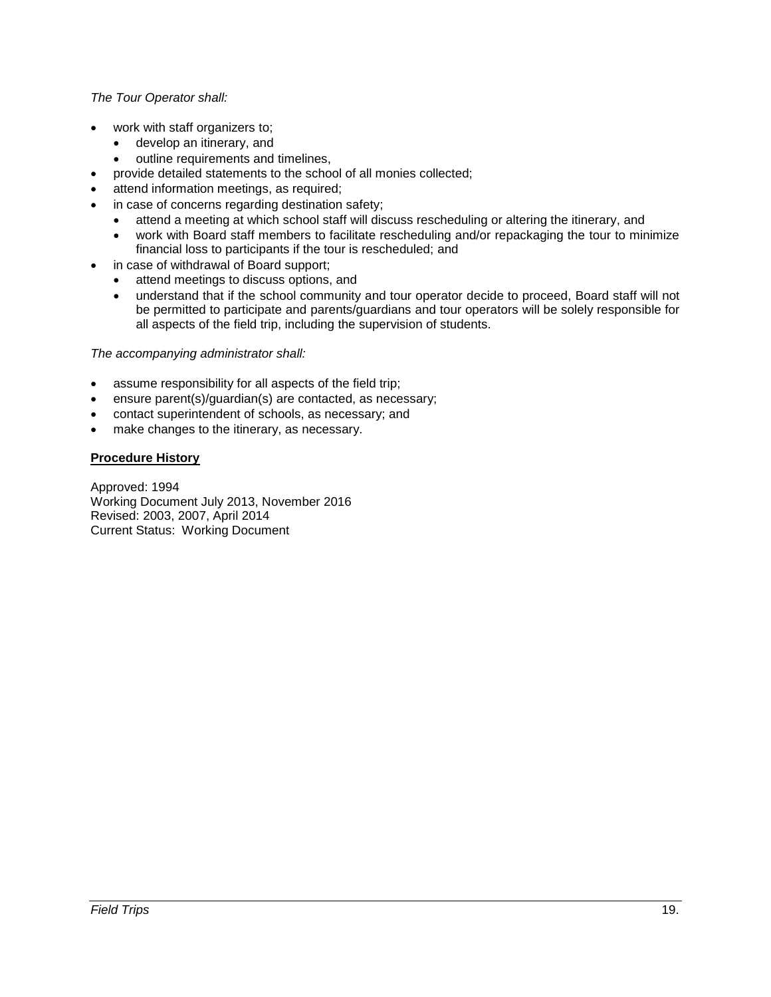# *The Tour Operator shall:*

- work with staff organizers to;
	- develop an itinerary, and
	- outline requirements and timelines,
- provide detailed statements to the school of all monies collected;
- attend information meetings, as required;
- in case of concerns regarding destination safety;
	- attend a meeting at which school staff will discuss rescheduling or altering the itinerary, and
	- work with Board staff members to facilitate rescheduling and/or repackaging the tour to minimize financial loss to participants if the tour is rescheduled; and
- in case of withdrawal of Board support;
	- attend meetings to discuss options, and
	- understand that if the school community and tour operator decide to proceed, Board staff will not be permitted to participate and parents/guardians and tour operators will be solely responsible for all aspects of the field trip, including the supervision of students.

# *The accompanying administrator shall:*

- assume responsibility for all aspects of the field trip;
- ensure parent(s)/guardian(s) are contacted, as necessary;
- contact superintendent of schools, as necessary; and
- make changes to the itinerary, as necessary.

### **Procedure History**

Approved: 1994 Working Document July 2013, November 2016 Revised: 2003, 2007, April 2014 Current Status: Working Document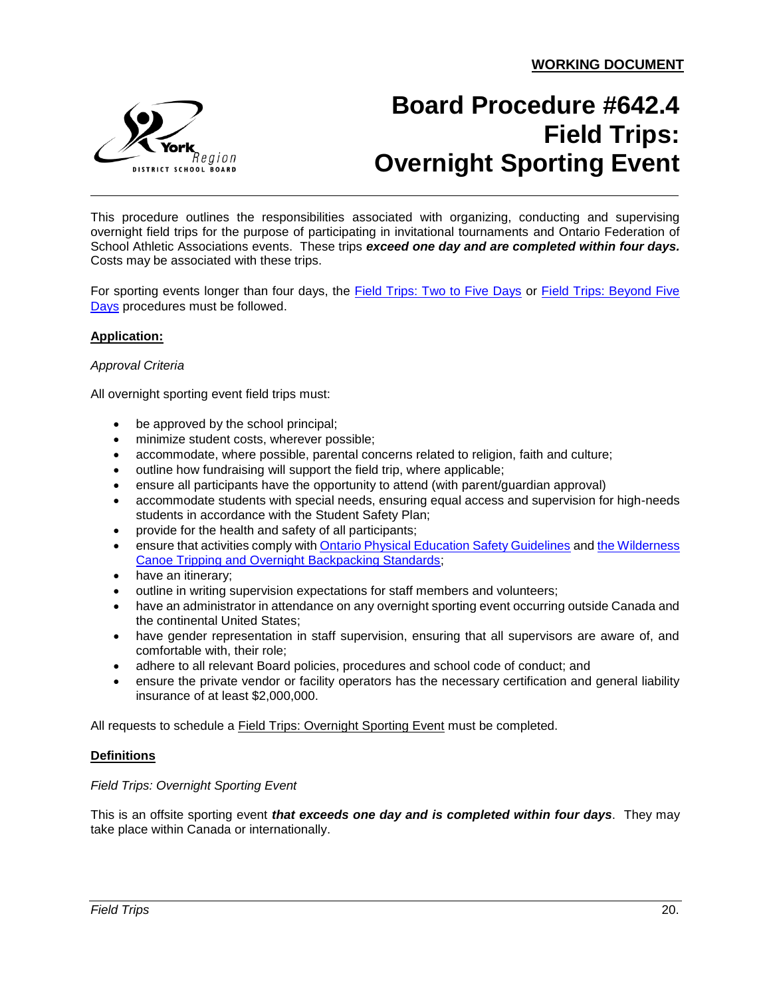

# <span id="page-19-0"></span>**Board Procedure #642.4 Field Trips: Overnight Sporting Event**

This procedure outlines the responsibilities associated with organizing, conducting and supervising overnight field trips for the purpose of participating in invitational tournaments and Ontario Federation of School Athletic Associations events. These trips *exceed one day and are completed within four days.* Costs may be associated with these trips.

For sporting events longer than four days, the [Field Trips: Two to Five Days](#page-7-0) or Field Trips: Beyond Five [Days](#page-13-0) procedures must be followed.

# **Application:**

# *Approval Criteria*

All overnight sporting event field trips must:

- be approved by the school principal;
- minimize student costs, wherever possible;
- accommodate, where possible, parental concerns related to religion, faith and culture;
- outline how fundraising will support the field trip, where applicable;
- ensure all participants have the opportunity to attend (with parent/guardian approval)
- accommodate students with special needs, ensuring equal access and supervision for high-needs students in accordance with the Student Safety Plan;
- provide for the health and safety of all participants;
- ensure that activities comply with [Ontario Physical Education Safety Guidelines](https://bww.yrdsb.ca/boarddocs/Pages/OPHEA.aspx) an[d the Wilderness](https://bww.yrdsb.ca/boarddocs/Documents/SD-Safetystandardscanoeovernight.pdf)  [Canoe Tripping and Overnight Backpacking Standards;](https://bww.yrdsb.ca/boarddocs/Documents/SD-Safetystandardscanoeovernight.pdf)
- have an itinerary;
- outline in writing supervision expectations for staff members and volunteers;
- have an administrator in attendance on any overnight sporting event occurring outside Canada and the continental United States;
- have gender representation in staff supervision, ensuring that all supervisors are aware of, and comfortable with, their role;
- adhere to all relevant Board policies, procedures and school code of conduct; and
- ensure the private vendor or facility operators has the necessary certification and general liability insurance of at least \$2,000,000.

All requests to schedule a **Field Trips: Overnight Sporting Event** must be completed.

# **Definitions**

# *Field Trips: Overnight Sporting Event*

This is an offsite sporting event *that exceeds one day and is completed within four days*. They may take place within Canada or internationally.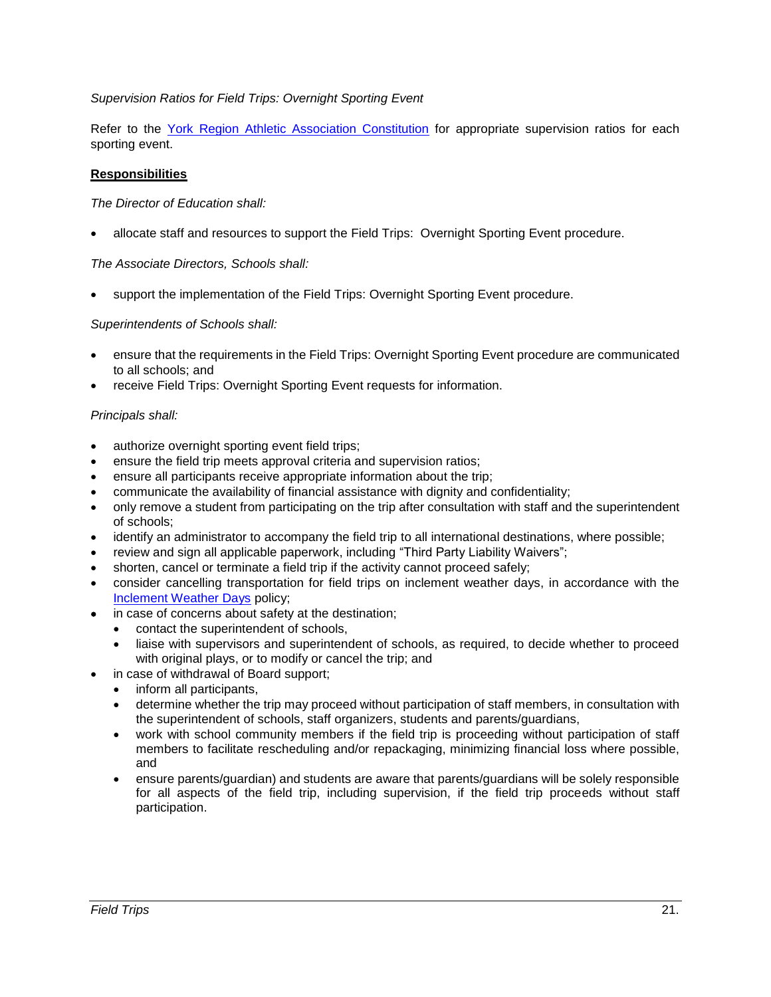# *Supervision Ratios for Field Trips: Overnight Sporting Event*

Refer to the [York Region Athletic Association Constitution](http://www.yraa.com/documents/docs/YRAA%20Constitution.pdf) for appropriate supervision ratios for each sporting event.

# **Responsibilities**

# *The Director of Education shall:*

allocate staff and resources to support the Field Trips: Overnight Sporting Event procedure.

# *The Associate Directors, Schools shall:*

support the implementation of the Field Trips: Overnight Sporting Event procedure.

# *Superintendents of Schools shall:*

- ensure that the requirements in the Field Trips: Overnight Sporting Event procedure are communicated to all schools; and
- receive Field Trips: Overnight Sporting Event requests for information.

# *Principals shall:*

- authorize overnight sporting event field trips;
- ensure the field trip meets approval criteria and supervision ratios;
- ensure all participants receive appropriate information about the trip;
- communicate the availability of financial assistance with dignity and confidentiality;
- only remove a student from participating on the trip after consultation with staff and the superintendent of schools;
- identify an administrator to accompany the field trip to all international destinations, where possible;
- review and sign all applicable paperwork, including "Third Party Liability Waivers";
- shorten, cancel or terminate a field trip if the activity cannot proceed safely;
- consider cancelling transportation for field trips on inclement weather days, in accordance with the [Inclement Weather Days](http://www.yrdsb.ca/boarddocs/Documents/PP-inclementweatherandemergencyconditionsdays-152.0.pdf) policy;
- in case of concerns about safety at the destination;
	- contact the superintendent of schools,
	- liaise with supervisors and superintendent of schools, as required, to decide whether to proceed with original plays, or to modify or cancel the trip; and
- in case of withdrawal of Board support;
	- inform all participants,
	- determine whether the trip may proceed without participation of staff members, in consultation with the superintendent of schools, staff organizers, students and parents/guardians,
	- work with school community members if the field trip is proceeding without participation of staff members to facilitate rescheduling and/or repackaging, minimizing financial loss where possible, and
	- ensure parents/guardian) and students are aware that parents/guardians will be solely responsible for all aspects of the field trip, including supervision, if the field trip proceeds without staff participation.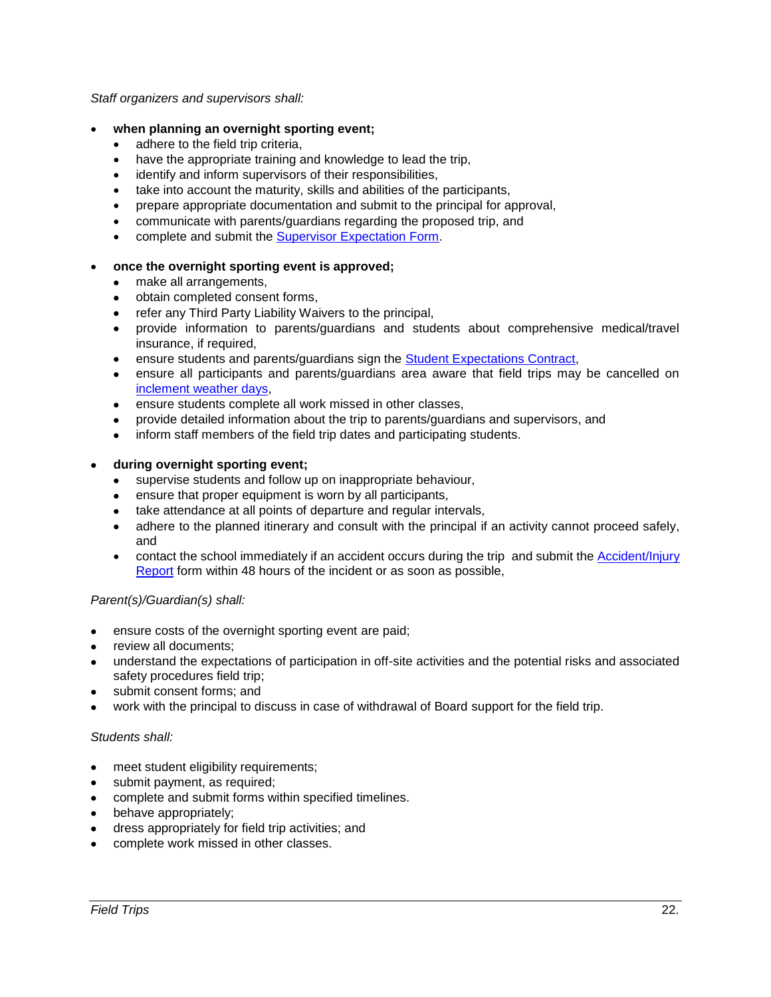*Staff organizers and supervisors shall:*

- **when planning an overnight sporting event;** 
	- adhere to the field trip criteria,
	- have the appropriate training and knowledge to lead the trip,
	- identify and inform supervisors of their responsibilities,
	- take into account the maturity, skills and abilities of the participants,
	- prepare appropriate documentation and submit to the principal for approval,
	- communicate with parents/guardians regarding the proposed trip, and
	- complete and submit the [Supervisor Expectation Form.](https://bww.yrdsb.ca/boarddocs/Documents/FOR-extendedstudentstudytours-supervisionexpectations.pdf)

# **once the overnight sporting event is approved;**

- make all arrangements,
- obtain completed consent forms,
- refer any Third Party Liability Waivers to the principal,
- provide information to parents/guardians and students about comprehensive medical/travel insurance, if required,
- ensure students and parents/guardians sign the [Student Expectations Contract,](https://bww.yrdsb.ca/boarddocs/Documents/FOR-StudentExpectationsContract.docx)
- ensure all participants and parents/guardians area aware that field trips may be cancelled on [inclement weather days,](http://www.yrdsb.ca/boarddocs/Documents/PP-inclementweatherandemergencyconditionsdays-152.0.pdf)
- ensure students complete all work missed in other classes,
- provide detailed information about the trip to parents/guardians and supervisors, and
- inform staff members of the field trip dates and participating students.

# **during overnight sporting event;**

- supervise students and follow up on inappropriate behaviour,
- ensure that proper equipment is worn by all participants,
- take attendance at all points of departure and regular intervals,
- adhere to the planned itinerary and consult with the principal if an activity cannot proceed safely, and
- contact the school immediately if an accident occurs during the trip and submit the [Accident/Injury](https://bww.yrdsb.ca/boarddocs/Documents/FOR-studaccident-674-04.pdf)  [Report](https://bww.yrdsb.ca/boarddocs/Documents/FOR-studaccident-674-04.pdf) form within 48 hours of the incident or as soon as possible,

# *Parent(s)/Guardian(s) shall:*

- ensure costs of the overnight sporting event are paid;
- review all documents:
- understand the expectations of participation in off-site activities and the potential risks and associated safety procedures field trip;
- submit consent forms; and
- work with the principal to discuss in case of withdrawal of Board support for the field trip.

# *Students shall:*

- meet student eligibility requirements;
- submit payment, as required;
- complete and submit forms within specified timelines.
- behave appropriately;
- dress appropriately for field trip activities; and
- complete work missed in other classes.